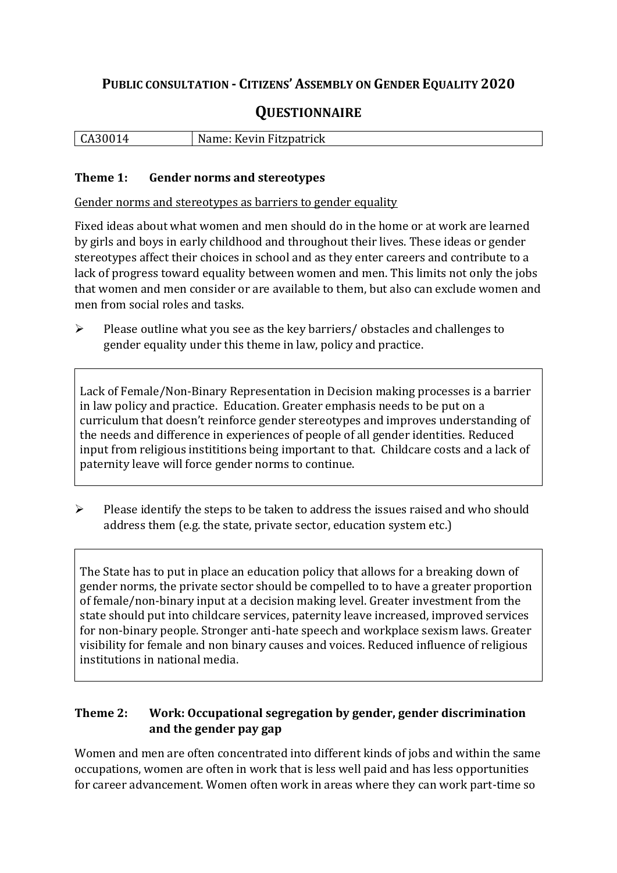## **PUBLIC CONSULTATION - CITIZENS' ASSEMBLY ON GENDER EQUALITY 2020**

# **QUESTIONNAIRE**

| $\vert$ CA30014 | Name: Kevin Fitzpatrick |
|-----------------|-------------------------|
|                 |                         |

#### **Theme 1: Gender norms and stereotypes**

Gender norms and stereotypes as barriers to gender equality

Fixed ideas about what women and men should do in the home or at work are learned by girls and boys in early childhood and throughout their lives. These ideas or gender stereotypes affect their choices in school and as they enter careers and contribute to a lack of progress toward equality between women and men. This limits not only the jobs that women and men consider or are available to them, but also can exclude women and men from social roles and tasks.

➢ Please outline what you see as the key barriers/ obstacles and challenges to gender equality under this theme in law, policy and practice.

Lack of Female/Non-Binary Representation in Decision making processes is a barrier in law policy and practice. Education. Greater emphasis needs to be put on a curriculum that doesn't reinforce gender stereotypes and improves understanding of the needs and difference in experiences of people of all gender identities. Reduced input from religious instititions being important to that. Childcare costs and a lack of paternity leave will force gender norms to continue.

➢ Please identify the steps to be taken to address the issues raised and who should address them (e.g. the state, private sector, education system etc.)

The State has to put in place an education policy that allows for a breaking down of gender norms, the private sector should be compelled to to have a greater proportion of female/non-binary input at a decision making level. Greater investment from the state should put into childcare services, paternity leave increased, improved services for non-binary people. Stronger anti-hate speech and workplace sexism laws. Greater visibility for female and non binary causes and voices. Reduced influence of religious institutions in national media.

#### **Theme 2: Work: Occupational segregation by gender, gender discrimination and the gender pay gap**

Women and men are often concentrated into different kinds of jobs and within the same occupations, women are often in work that is less well paid and has less opportunities for career advancement. Women often work in areas where they can work part-time so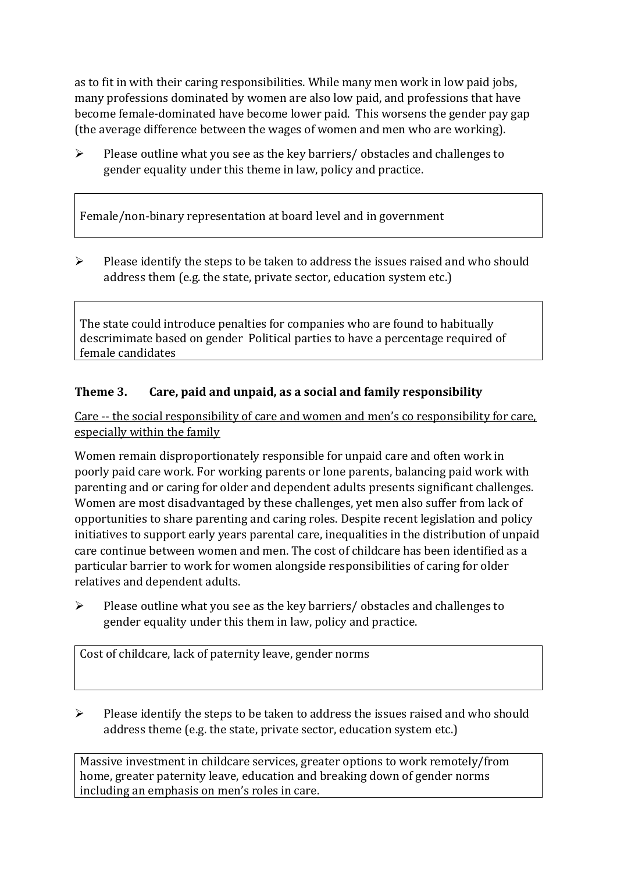as to fit in with their caring responsibilities. While many men work in low paid jobs, many professions dominated by women are also low paid, and professions that have become female-dominated have become lower paid. This worsens the gender pay gap (the average difference between the wages of women and men who are working).

 $\triangleright$  Please outline what you see as the key barriers/ obstacles and challenges to gender equality under this theme in law, policy and practice.

Female/non-binary representation at board level and in government

 $\triangleright$  Please identify the steps to be taken to address the issues raised and who should address them (e.g. the state, private sector, education system etc.)

The state could introduce penalties for companies who are found to habitually descrimimate based on gender Political parties to have a percentage required of female candidates

### **Theme 3. Care, paid and unpaid, as a social and family responsibility**

Care -- the social responsibility of care and women and men's co responsibility for care, especially within the family

Women remain disproportionately responsible for unpaid care and often work in poorly paid care work. For working parents or [lone parents,](https://aran.library.nuigalway.ie/bitstream/handle/10379/6044/Millar_and_Crosse_Activation_Report.pdf?sequence=1&isAllowed=y) balancing paid work with parenting and or caring for older and dependent adults presents significant challenges. Women are [most disadvantaged by these challenges,](https://eige.europa.eu/gender-equality-index/game/IE/W) yet men also suffer from lack of opportunities to share parenting and caring roles. Despite recent legislation and policy initiatives to support early years parental care, [inequalities in the distribution of unpaid](https://www.ihrec.ie/app/uploads/2019/07/Caring-and-Unpaid-Work-in-Ireland_Final.pdf)  [care](https://www.ihrec.ie/app/uploads/2019/07/Caring-and-Unpaid-Work-in-Ireland_Final.pdf) continue between women and men. The cost of childcare has been identified as a particular barrier to work for women alongside responsibilities of caring for older relatives and dependent adults.

➢ Please outline what you see as the key barriers/ obstacles and challenges to gender equality under this them in law, policy and practice.

Cost of childcare, lack of paternity leave, gender norms

➢ Please identify the steps to be taken to address the issues raised and who should address theme (e.g. the state, private sector, education system etc.)

Massive investment in childcare services, greater options to work remotely/from home, greater paternity leave, education and breaking down of gender norms including an emphasis on men's roles in care.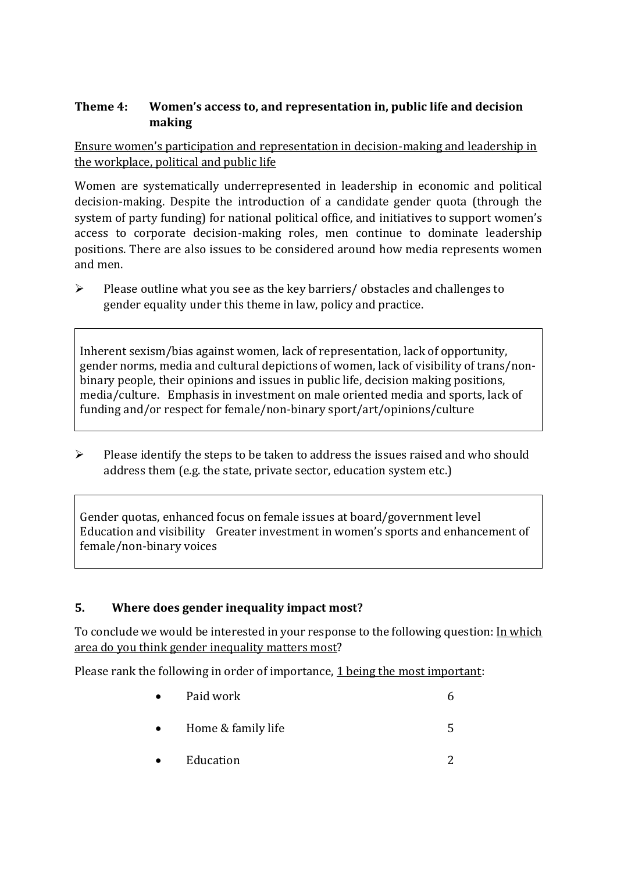#### **Theme 4: Women's access to, and representation in, public life and decision making**

Ensure women's participation and representation in decision-making and leadership in the workplace, political and public life

Women are systematically underrepresented in leadership in [economic](https://eige.europa.eu/gender-equality-index/2019/compare-countries/power/2/bar) and [political](https://eige.europa.eu/gender-equality-index/2019/compare-countries/power/1/bar)  [decision-](https://eige.europa.eu/gender-equality-index/2019/compare-countries/power/1/bar)making. Despite the introduction of a candidate gender quota (through the system of party funding) for national political office, and [initiatives](https://betterbalance.ie/) to support women's access to corporate decision-making roles, men continue to dominate leadership positions. There are also issues to be considered around how media represents women and men.

➢ Please outline what you see as the key barriers/ obstacles and challenges to gender equality under this theme in law, policy and practice.

Inherent sexism/bias against women, lack of representation, lack of opportunity, gender norms, media and cultural depictions of women, lack of visibility of trans/nonbinary people, their opinions and issues in public life, decision making positions, media/culture. Emphasis in investment on male oriented media and sports, lack of funding and/or respect for female/non-binary sport/art/opinions/culture

 $\triangleright$  Please identify the steps to be taken to address the issues raised and who should address them (e.g. the state, private sector, education system etc.)

Gender quotas, enhanced focus on female issues at board/government level Education and visibility Greater investment in women's sports and enhancement of female/non-binary voices

#### **5. Where does gender inequality impact most?**

To conclude we would be interested in your response to the following question: In which area do you think gender inequality matters most?

Please rank the following in order of importance, 1 being the most important:

- Paid work  $\qquad \qquad 6$ • Home  $&$  family life  $&$  5
- Education 2